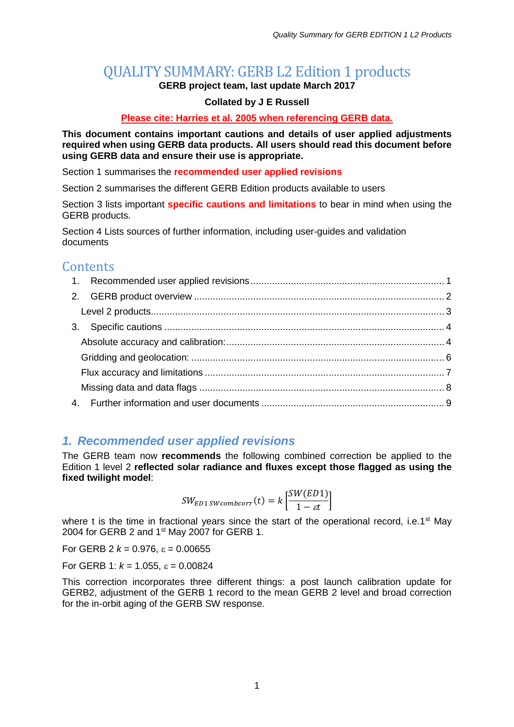# QUALITY SUMMARY: GERB L2 Edition 1 products

**GERB project team, last update March 2017**

#### **Collated by J E Russell**

#### **Please cite: Harries et al. 2005 when referencing GERB data.**

**This document contains important cautions and details of user applied adjustments required when using GERB data products. All users should read this document before using GERB data and ensure their use is appropriate.**

Section 1 summarises the **recommended user applied revisions**

Section 2 summarises the different GERB Edition products available to users

Section 3 lists important **specific cautions and limitations** to bear in mind when using the GERB products.

Section 4 Lists sources of further information, including user-guides and validation documents

# **Contents**

### <span id="page-0-0"></span>*1. Recommended user applied revisions*

The GERB team now **recommends** the following combined correction be applied to the Edition 1 level 2 **reflected solar radiance and fluxes except those flagged as using the fixed twilight model**:

$$
SW_{ED1\,SWcombcorr}(t) = k \left[ \frac{SW(ED1)}{1 - \varepsilon t} \right]
$$

where t is the time in fractional years since the start of the operational record, i.e.1<sup>st</sup> May 2004 for GERB 2 and 1<sup>st</sup> May 2007 for GERB 1.

For GERB 2  $k = 0.976$ ,  $\epsilon = 0.00655$ 

For GERB 1:  $k = 1.055$ ,  $\varepsilon = 0.00824$ 

This correction incorporates three different things: a post launch calibration update for GERB2, adjustment of the GERB 1 record to the mean GERB 2 level and broad correction for the in-orbit aging of the GERB SW response.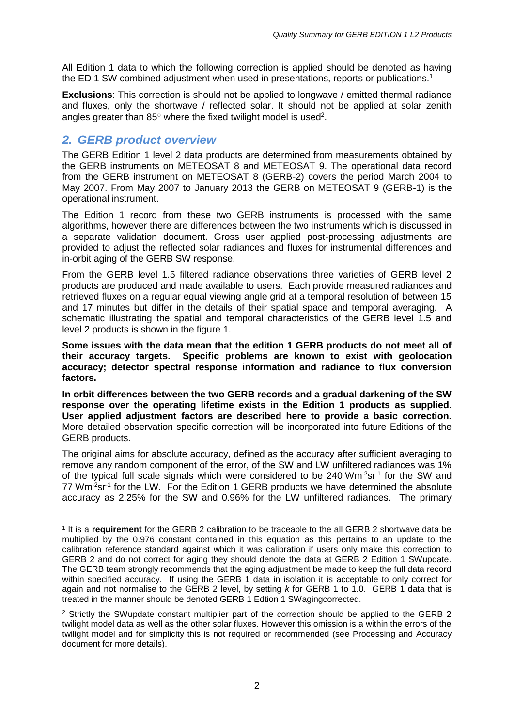All Edition 1 data to which the following correction is applied should be denoted as having the ED 1 SW combined adjustment when used in presentations, reports or publications.<sup>1</sup>

**Exclusions**: This correction is should not be applied to longwave / emitted thermal radiance and fluxes, only the shortwave / reflected solar. It should not be applied at solar zenith angles greater than 85 $^{\circ}$  where the fixed twilight model is used<sup>2</sup>.

### <span id="page-1-0"></span>*2. GERB product overview*

-

The GERB Edition 1 level 2 data products are determined from measurements obtained by the GERB instruments on METEOSAT 8 and METEOSAT 9. The operational data record from the GERB instrument on METEOSAT 8 (GERB-2) covers the period March 2004 to May 2007. From May 2007 to January 2013 the GERB on METEOSAT 9 (GERB-1) is the operational instrument.

The Edition 1 record from these two GERB instruments is processed with the same algorithms, however there are differences between the two instruments which is discussed in a separate validation document. Gross user applied post-processing adjustments are provided to adjust the reflected solar radiances and fluxes for instrumental differences and in-orbit aging of the GERB SW response.

From the GERB level 1.5 filtered radiance observations three varieties of GERB level 2 products are produced and made available to users. Each provide measured radiances and retrieved fluxes on a regular equal viewing angle grid at a temporal resolution of between 15 and 17 minutes but differ in the details of their spatial space and temporal averaging. A schematic illustrating the spatial and temporal characteristics of the GERB level 1.5 and level 2 products is shown in the figure 1.

**Some issues with the data mean that the edition 1 GERB products do not meet all of their accuracy targets. Specific problems are known to exist with geolocation accuracy; detector spectral response information and radiance to flux conversion factors.** 

**In orbit differences between the two GERB records and a gradual darkening of the SW response over the operating lifetime exists in the Edition 1 products as supplied. User applied adjustment factors are described here to provide a basic correction.**  More detailed observation specific correction will be incorporated into future Editions of the GERB products.

The original aims for absolute accuracy, defined as the accuracy after sufficient averaging to remove any random component of the error, of the SW and LW unfiltered radiances was 1% of the typical full scale signals which were considered to be 240 Wm<sup>-2</sup>sr<sup>-1</sup> for the SW and 77 Wm<sup>-2</sup>sr<sup>-1</sup> for the LW. For the Edition 1 GERB products we have determined the absolute accuracy as 2.25% for the SW and 0.96% for the LW unfiltered radiances. The primary

<sup>1</sup> It is a **requirement** for the GERB 2 calibration to be traceable to the all GERB 2 shortwave data be multiplied by the 0.976 constant contained in this equation as this pertains to an update to the calibration reference standard against which it was calibration if users only make this correction to GERB 2 and do not correct for aging they should denote the data at GERB 2 Edition 1 SWupdate. The GERB team strongly recommends that the aging adjustment be made to keep the full data record within specified accuracy. If using the GERB 1 data in isolation it is acceptable to only correct for again and not normalise to the GERB 2 level, by setting *k* for GERB 1 to 1.0. GERB 1 data that is treated in the manner should be denoted GERB 1 Edtion 1 SWagingcorrected.

<sup>&</sup>lt;sup>2</sup> Strictly the SWupdate constant multiplier part of the correction should be applied to the GERB 2 twilight model data as well as the other solar fluxes. However this omission is a within the errors of the twilight model and for simplicity this is not required or recommended (see Processing and Accuracy document for more details).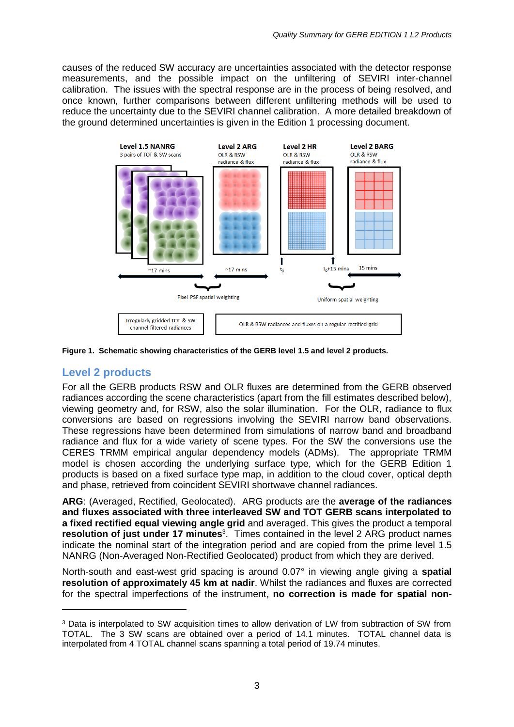causes of the reduced SW accuracy are uncertainties associated with the detector response measurements, and the possible impact on the unfiltering of SEVIRI inter-channel calibration. The issues with the spectral response are in the process of being resolved, and once known, further comparisons between different unfiltering methods will be used to reduce the uncertainty due to the SEVIRI channel calibration. A more detailed breakdown of the ground determined uncertainties is given in the Edition 1 processing document.



**Figure 1. Schematic showing characteristics of the GERB level 1.5 and level 2 products.**

### <span id="page-2-0"></span>**Level 2 products**

-

For all the GERB products RSW and OLR fluxes are determined from the GERB observed radiances according the scene characteristics (apart from the fill estimates described below), viewing geometry and, for RSW, also the solar illumination. For the OLR, radiance to flux conversions are based on regressions involving the SEVIRI narrow band observations. These regressions have been determined from simulations of narrow band and broadband radiance and flux for a wide variety of scene types. For the SW the conversions use the CERES TRMM empirical angular dependency models (ADMs). The appropriate TRMM model is chosen according the underlying surface type, which for the GERB Edition 1 products is based on a fixed surface type map, in addition to the cloud cover, optical depth and phase, retrieved from coincident SEVIRI shortwave channel radiances.

**ARG**: (Averaged, Rectified, Geolocated). ARG products are the **average of the radiances and fluxes associated with three interleaved SW and TOT GERB scans interpolated to a fixed rectified equal viewing angle grid** and averaged. This gives the product a temporal **resolution of just under 17 minutes**<sup>3</sup>. Times contained in the level 2 ARG product names indicate the nominal start of the integration period and are copied from the prime level 1.5 NANRG (Non-Averaged Non-Rectified Geolocated) product from which they are derived.

North-south and east-west grid spacing is around 0.07° in viewing angle giving a **spatial resolution of approximately 45 km at nadir**. Whilst the radiances and fluxes are corrected for the spectral imperfections of the instrument, **no correction is made for spatial non-**

<sup>3</sup> Data is interpolated to SW acquisition times to allow derivation of LW from subtraction of SW from TOTAL. The 3 SW scans are obtained over a period of 14.1 minutes. TOTAL channel data is interpolated from 4 TOTAL channel scans spanning a total period of 19.74 minutes.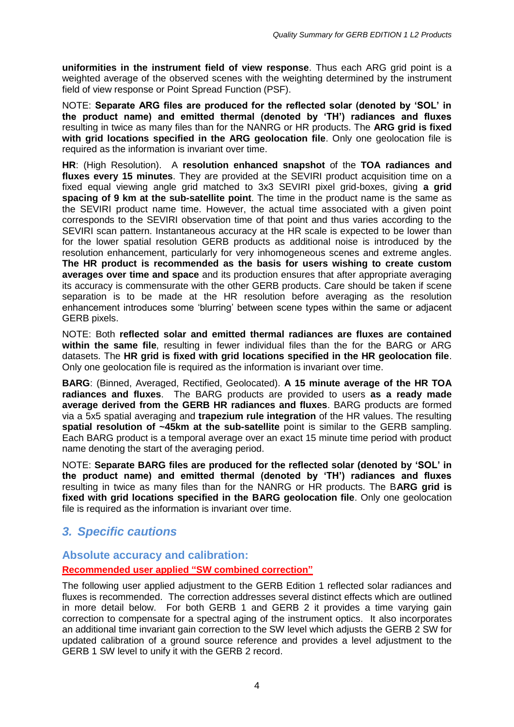**uniformities in the instrument field of view response**. Thus each ARG grid point is a weighted average of the observed scenes with the weighting determined by the instrument field of view response or Point Spread Function (PSF).

NOTE: **Separate ARG files are produced for the reflected solar (denoted by 'SOL' in the product name) and emitted thermal (denoted by 'TH') radiances and fluxes** resulting in twice as many files than for the NANRG or HR products. The **ARG grid is fixed with grid locations specified in the ARG geolocation file**. Only one geolocation file is required as the information is invariant over time.

**HR**: (High Resolution). A **resolution enhanced snapshot** of the **TOA radiances and fluxes every 15 minutes**. They are provided at the SEVIRI product acquisition time on a fixed equal viewing angle grid matched to 3x3 SEVIRI pixel grid-boxes, giving **a grid spacing of 9 km at the sub-satellite point**. The time in the product name is the same as the SEVIRI product name time. However, the actual time associated with a given point corresponds to the SEVIRI observation time of that point and thus varies according to the SEVIRI scan pattern. Instantaneous accuracy at the HR scale is expected to be lower than for the lower spatial resolution GERB products as additional noise is introduced by the resolution enhancement, particularly for very inhomogeneous scenes and extreme angles. **The HR product is recommended as the basis for users wishing to create custom averages over time and space** and its production ensures that after appropriate averaging its accuracy is commensurate with the other GERB products. Care should be taken if scene separation is to be made at the HR resolution before averaging as the resolution enhancement introduces some 'blurring' between scene types within the same or adjacent GERB pixels.

NOTE: Both **reflected solar and emitted thermal radiances are fluxes are contained within the same file**, resulting in fewer individual files than the for the BARG or ARG datasets. The **HR grid is fixed with grid locations specified in the HR geolocation file**. Only one geolocation file is required as the information is invariant over time.

**BARG**: (Binned, Averaged, Rectified, Geolocated). **A 15 minute average of the HR TOA radiances and fluxes**. The BARG products are provided to users **as a ready made average derived from the GERB HR radiances and fluxes**. BARG products are formed via a 5x5 spatial averaging and **trapezium rule integration** of the HR values. The resulting **spatial resolution of ~45km at the sub-satellite** point is similar to the GERB sampling. Each BARG product is a temporal average over an exact 15 minute time period with product name denoting the start of the averaging period.

NOTE: **Separate BARG files are produced for the reflected solar (denoted by 'SOL' in the product name) and emitted thermal (denoted by 'TH') radiances and fluxes** resulting in twice as many files than for the NANRG or HR products. The B**ARG grid is fixed with grid locations specified in the BARG geolocation file**. Only one geolocation file is required as the information is invariant over time.

# <span id="page-3-0"></span>*3. Specific cautions*

### <span id="page-3-1"></span>**Absolute accuracy and calibration:**

**Recommended user applied "SW combined correction"**

The following user applied adjustment to the GERB Edition 1 reflected solar radiances and fluxes is recommended. The correction addresses several distinct effects which are outlined in more detail below. For both GERB 1 and GERB 2 it provides a time varying gain correction to compensate for a spectral aging of the instrument optics. It also incorporates an additional time invariant gain correction to the SW level which adjusts the GERB 2 SW for updated calibration of a ground source reference and provides a level adjustment to the GERB 1 SW level to unify it with the GERB 2 record.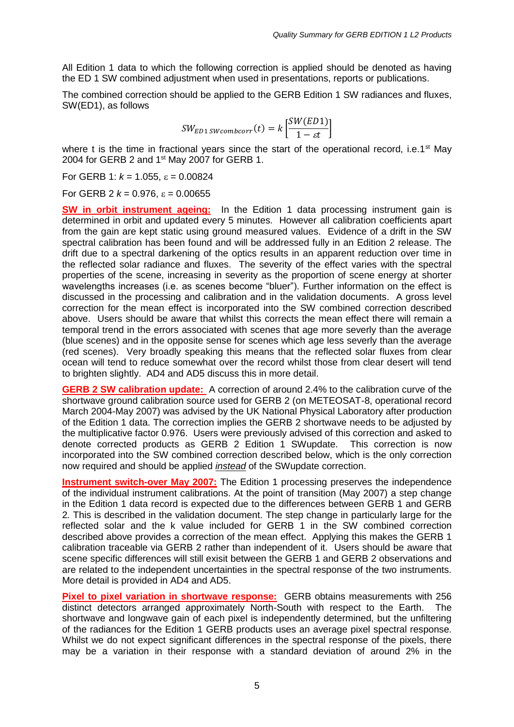All Edition 1 data to which the following correction is applied should be denoted as having the ED 1 SW combined adjustment when used in presentations, reports or publications.

The combined correction should be applied to the GERB Edition 1 SW radiances and fluxes, SW(ED1), as follows

$$
SW_{ED1\,SWcombcorr}(t) = k \left[ \frac{SW(ED1)}{1 - \varepsilon t} \right]
$$

where t is the time in fractional years since the start of the operational record, i.e.1<sup>st</sup> May 2004 for GERB 2 and 1<sup>st</sup> May 2007 for GERB 1.

For GERB 1:  $k = 1.055$ ,  $\varepsilon = 0.00824$ 

For GERB 2  $k = 0.976$ ,  $\epsilon = 0.00655$ 

**SW in orbit instrument ageing:** In the Edition 1 data processing instrument gain is determined in orbit and updated every 5 minutes. However all calibration coefficients apart from the gain are kept static using ground measured values. Evidence of a drift in the SW spectral calibration has been found and will be addressed fully in an Edition 2 release. The drift due to a spectral darkening of the optics results in an apparent reduction over time in the reflected solar radiance and fluxes. The severity of the effect varies with the spectral properties of the scene, increasing in severity as the proportion of scene energy at shorter wavelengths increases (i.e. as scenes become "bluer"). Further information on the effect is discussed in the processing and calibration and in the validation documents. A gross level correction for the mean effect is incorporated into the SW combined correction described above. Users should be aware that whilst this corrects the mean effect there will remain a temporal trend in the errors associated with scenes that age more severly than the average (blue scenes) and in the opposite sense for scenes which age less severly than the average (red scenes). Very broadly speaking this means that the reflected solar fluxes from clear ocean will tend to reduce somewhat over the record whilst those from clear desert will tend to brighten slightly. AD4 and AD5 discuss this in more detail.

**GERB 2 SW calibration update:** A correction of around 2.4% to the calibration curve of the shortwave ground calibration source used for GERB 2 (on METEOSAT-8, operational record March 2004-May 2007) was advised by the UK National Physical Laboratory after production of the Edition 1 data. The correction implies the GERB 2 shortwave needs to be adjusted by the multiplicative factor 0.976. Users were previously advised of this correction and asked to denote corrected products as GERB 2 Edition 1 SWupdate. This correction is now incorporated into the SW combined correction described below, which is the only correction now required and should be applied *instead* of the SWupdate correction.

**Instrument switch-over May 2007:** The Edition 1 processing preserves the independence of the individual instrument calibrations. At the point of transition (May 2007) a step change in the Edition 1 data record is expected due to the differences between GERB 1 and GERB 2*.* This is described in the validation document. The step change in particularly large for the reflected solar and the k value included for GERB 1 in the SW combined correction described above provides a correction of the mean effect. Applying this makes the GERB 1 calibration traceable via GERB 2 rather than independent of it. Users should be aware that scene specific differences will still exisit between the GERB 1 and GERB 2 observations and are related to the independent uncertainties in the spectral response of the two instruments. More detail is provided in AD4 and AD5.

**Pixel to pixel variation in shortwave response:** GERB obtains measurements with 256 distinct detectors arranged approximately North-South with respect to the Earth. The shortwave and longwave gain of each pixel is independently determined, but the unfiltering of the radiances for the Edition 1 GERB products uses an average pixel spectral response. Whilst we do not expect significant differences in the spectral response of the pixels, there may be a variation in their response with a standard deviation of around 2% in the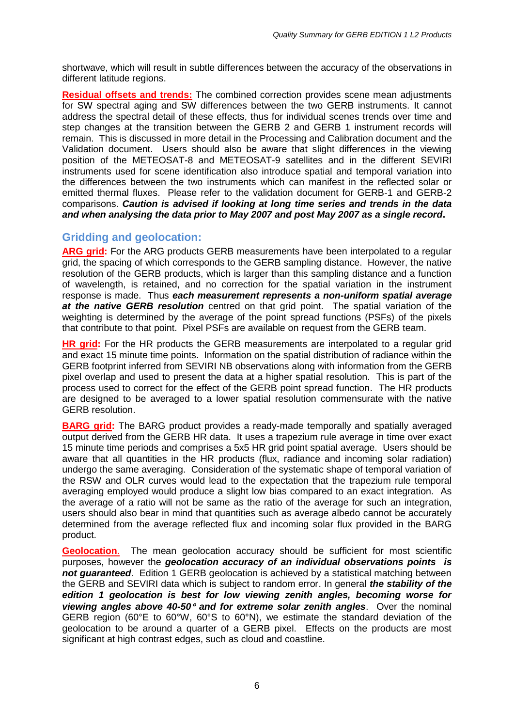shortwave, which will result in subtle differences between the accuracy of the observations in different latitude regions.

**Residual offsets and trends:** The combined correction provides scene mean adjustments for SW spectral aging and SW differences between the two GERB instruments. It cannot address the spectral detail of these effects, thus for individual scenes trends over time and step changes at the transition between the GERB 2 and GERB 1 instrument records will remain. This is discussed in more detail in the Processing and Calibration document and the Validation document. Users should also be aware that slight differences in the viewing position of the METEOSAT-8 and METEOSAT-9 satellites and in the different SEVIRI instruments used for scene identification also introduce spatial and temporal variation into the differences between the two instruments which can manifest in the reflected solar or emitted thermal fluxes. Please refer to the validation document for GERB-1 and GERB-2 comparisons. *Caution is advised if looking at long time series and trends in the data and when analysing the data prior to May 2007 and post May 2007 as a single record***.**

### <span id="page-5-0"></span>**Gridding and geolocation:**

**ARG grid:** For the ARG products GERB measurements have been interpolated to a regular grid, the spacing of which corresponds to the GERB sampling distance. However, the native resolution of the GERB products, which is larger than this sampling distance and a function of wavelength, is retained, and no correction for the spatial variation in the instrument response is made. Thus *each measurement represents a non-uniform spatial average at the native GERB resolution* centred on that grid point. The spatial variation of the weighting is determined by the average of the point spread functions (PSFs) of the pixels that contribute to that point. Pixel PSFs are available on request from the GERB team.

**HR grid:** For the HR products the GERB measurements are interpolated to a regular grid and exact 15 minute time points. Information on the spatial distribution of radiance within the GERB footprint inferred from SEVIRI NB observations along with information from the GERB pixel overlap and used to present the data at a higher spatial resolution. This is part of the process used to correct for the effect of the GERB point spread function. The HR products are designed to be averaged to a lower spatial resolution commensurate with the native GERB resolution.

**BARG grid:** The BARG product provides a ready-made temporally and spatially averaged output derived from the GERB HR data. It uses a trapezium rule average in time over exact 15 minute time periods and comprises a 5x5 HR grid point spatial average. Users should be aware that all quantities in the HR products (flux, radiance and incoming solar radiation) undergo the same averaging. Consideration of the systematic shape of temporal variation of the RSW and OLR curves would lead to the expectation that the trapezium rule temporal averaging employed would produce a slight low bias compared to an exact integration. As the average of a ratio will not be same as the ratio of the average for such an integration, users should also bear in mind that quantities such as average albedo cannot be accurately determined from the average reflected flux and incoming solar flux provided in the BARG product.

**Geolocation**. The mean geolocation accuracy should be sufficient for most scientific purposes, however the *geolocation accuracy of an individual observations points is not guaranteed*. Edition 1 GERB geolocation is achieved by a statistical matching between the GERB and SEVIRI data which is subject to random error. In general *the stability of the edition 1 geolocation is best for low viewing zenith angles, becoming worse for viewing angles above 40-50 and for extreme solar zenith angles*. Over the nominal GERB region (60°E to 60°W, 60°S to 60°N), we estimate the standard deviation of the geolocation to be around a quarter of a GERB pixel. Effects on the products are most significant at high contrast edges, such as cloud and coastline.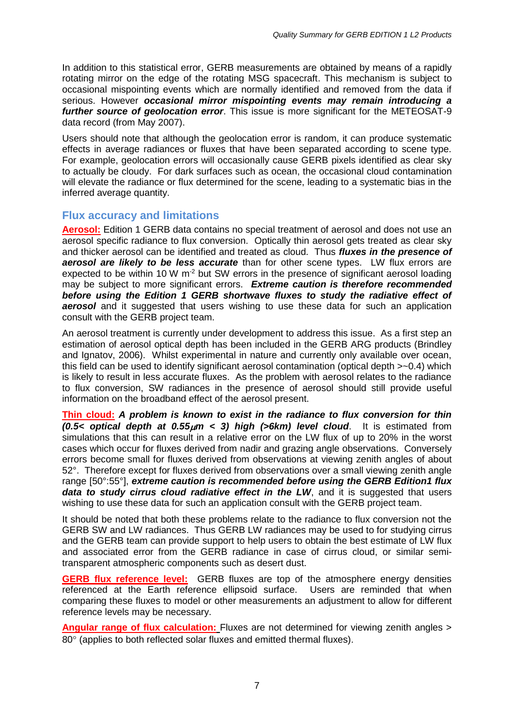In addition to this statistical error, GERB measurements are obtained by means of a rapidly rotating mirror on the edge of the rotating MSG spacecraft. This mechanism is subject to occasional mispointing events which are normally identified and removed from the data if serious. However *occasional mirror mispointing events may remain introducing a further source of geolocation error*. This issue is more significant for the METEOSAT-9 data record (from May 2007).

Users should note that although the geolocation error is random, it can produce systematic effects in average radiances or fluxes that have been separated according to scene type. For example, geolocation errors will occasionally cause GERB pixels identified as clear sky to actually be cloudy. For dark surfaces such as ocean, the occasional cloud contamination will elevate the radiance or flux determined for the scene, leading to a systematic bias in the inferred average quantity.

#### <span id="page-6-0"></span>**Flux accuracy and limitations**

**Aerosol:** Edition 1 GERB data contains no special treatment of aerosol and does not use an aerosol specific radiance to flux conversion. Optically thin aerosol gets treated as clear sky and thicker aerosol can be identified and treated as cloud. Thus *fluxes in the presence of aerosol are likely to be less accurate* than for other scene types. LW flux errors are expected to be within 10 W m<sup>-2</sup> but SW errors in the presence of significant aerosol loading may be subject to more significant errors. *Extreme caution is therefore recommended before using the Edition 1 GERB shortwave fluxes to study the radiative effect of*  **aerosol** and it suggested that users wishing to use these data for such an application consult with the GERB project team.

An aerosol treatment is currently under development to address this issue. As a first step an estimation of aerosol optical depth has been included in the GERB ARG products (Brindley and Ignatov, 2006). Whilst experimental in nature and currently only available over ocean, this field can be used to identify significant aerosol contamination (optical depth >~0.4) which is likely to result in less accurate fluxes. As the problem with aerosol relates to the radiance to flux conversion, SW radiances in the presence of aerosol should still provide useful information on the broadband effect of the aerosol present.

**Thin cloud:** *A problem is known to exist in the radiance to flux conversion for thin (0.5< optical depth at 0.55m < 3) high (>6km) level cloud*. It is estimated from simulations that this can result in a relative error on the LW flux of up to 20% in the worst cases which occur for fluxes derived from nadir and grazing angle observations. Conversely errors become small for fluxes derived from observations at viewing zenith angles of about 52°. Therefore except for fluxes derived from observations over a small viewing zenith angle range [50°:55°], *extreme caution is recommended before using the GERB Edition1 flux data to study cirrus cloud radiative effect in the LW*, and it is suggested that users wishing to use these data for such an application consult with the GERB project team.

It should be noted that both these problems relate to the radiance to flux conversion not the GERB SW and LW radiances. Thus GERB LW radiances may be used to for studying cirrus and the GERB team can provide support to help users to obtain the best estimate of LW flux and associated error from the GERB radiance in case of cirrus cloud, or similar semitransparent atmospheric components such as desert dust.

**GERB flux reference level:** GERB fluxes are top of the atmosphere energy densities referenced at the Earth reference ellipsoid surface. Users are reminded that when comparing these fluxes to model or other measurements an adjustment to allow for different reference levels may be necessary.

**Angular range of flux calculation:** Fluxes are not determined for viewing zenith angles >  $80^\circ$  (applies to both reflected solar fluxes and emitted thermal fluxes).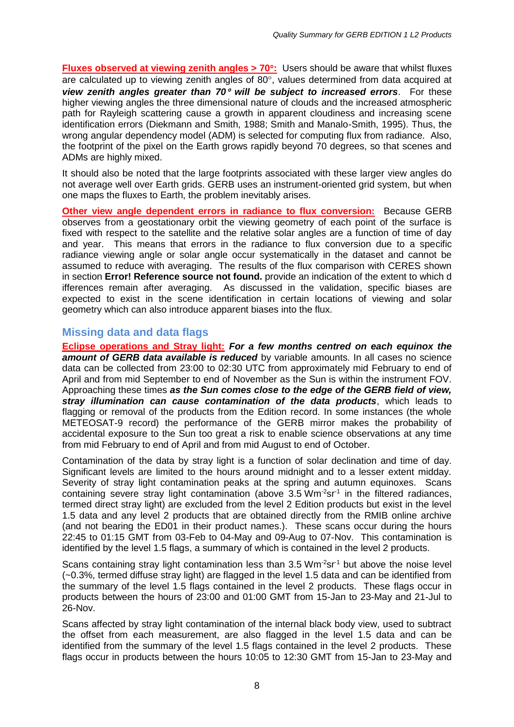**Fluxes observed at viewing zenith angles > 70:** Users should be aware that whilst fluxes are calculated up to viewing zenith angles of  $80^\circ$ , values determined from data acquired at *view zenith angles greater than 70<sup>°</sup> will be subject to increased errors.* **For these** higher viewing angles the three dimensional nature of clouds and the increased atmospheric path for Rayleigh scattering cause a growth in apparent cloudiness and increasing scene identification errors (Diekmann and Smith, 1988; Smith and Manalo-Smith, 1995). Thus, the wrong angular dependency model (ADM) is selected for computing flux from radiance. Also, the footprint of the pixel on the Earth grows rapidly beyond 70 degrees, so that scenes and ADMs are highly mixed.

It should also be noted that the large footprints associated with these larger view angles do not average well over Earth grids. GERB uses an instrument-oriented grid system, but when one maps the fluxes to Earth, the problem inevitably arises.

**Other view angle dependent errors in radiance to flux conversion:** Because GERB observes from a geostationary orbit the viewing geometry of each point of the surface is fixed with respect to the satellite and the relative solar angles are a function of time of day and year. This means that errors in the radiance to flux conversion due to a specific radiance viewing angle or solar angle occur systematically in the dataset and cannot be assumed to reduce with averaging. The results of the flux comparison with CERES shown in section **Error! Reference source not found.** provide an indication of the extent to which d ifferences remain after averaging. As discussed in the validation, specific biases are expected to exist in the scene identification in certain locations of viewing and solar geometry which can also introduce apparent biases into the flux.

### <span id="page-7-0"></span>**Missing data and data flags**

**Eclipse operations and Stray light:** *For a few months centred on each equinox the amount of GERB data available is reduced* by variable amounts. In all cases no science data can be collected from 23:00 to 02:30 UTC from approximately mid February to end of April and from mid September to end of November as the Sun is within the instrument FOV. Approaching these times *as the Sun comes close to the edge of the GERB field of view, stray illumination can cause contamination of the data products*, which leads to flagging or removal of the products from the Edition record. In some instances (the whole METEOSAT-9 record) the performance of the GERB mirror makes the probability of accidental exposure to the Sun too great a risk to enable science observations at any time from mid February to end of April and from mid August to end of October.

Contamination of the data by stray light is a function of solar declination and time of day. Significant levels are limited to the hours around midnight and to a lesser extent midday. Severity of stray light contamination peaks at the spring and autumn equinoxes. Scans containing severe stray light contamination (above  $3.5 \, \text{Wm}^2 \text{sr}^1$  in the filtered radiances, termed direct stray light) are excluded from the level 2 Edition products but exist in the level 1.5 data and any level 2 products that are obtained directly from the RMIB online archive (and not bearing the ED01 in their product names.). These scans occur during the hours 22:45 to 01:15 GMT from 03-Feb to 04-May and 09-Aug to 07-Nov. This contamination is identified by the level 1.5 flags, a summary of which is contained in the level 2 products.

Scans containing stray light contamination less than  $3.5 \text{ Wm}^2 \text{sr}^1$  but above the noise level (~0.3%, termed diffuse stray light) are flagged in the level 1.5 data and can be identified from the summary of the level 1.5 flags contained in the level 2 products. These flags occur in products between the hours of 23:00 and 01:00 GMT from 15-Jan to 23-May and 21-Jul to 26-Nov.

Scans affected by stray light contamination of the internal black body view, used to subtract the offset from each measurement, are also flagged in the level 1.5 data and can be identified from the summary of the level 1.5 flags contained in the level 2 products. These flags occur in products between the hours 10:05 to 12:30 GMT from 15-Jan to 23-May and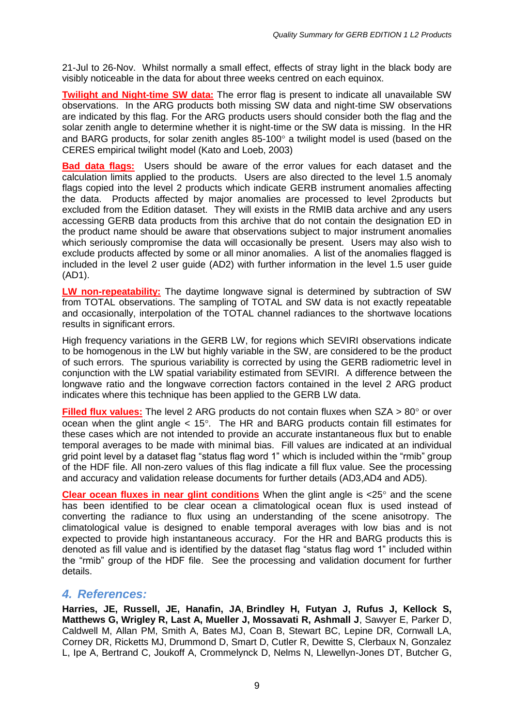21-Jul to 26-Nov. Whilst normally a small effect, effects of stray light in the black body are visibly noticeable in the data for about three weeks centred on each equinox.

**Twilight and Night-time SW data:** The error flag is present to indicate all unavailable SW observations. In the ARG products both missing SW data and night-time SW observations are indicated by this flag. For the ARG products users should consider both the flag and the solar zenith angle to determine whether it is night-time or the SW data is missing. In the HR and BARG products, for solar zenith angles  $85-100^\circ$  a twilight model is used (based on the CERES empirical twilight model (Kato and Loeb, 2003)

**Bad data flags:** Users should be aware of the error values for each dataset and the calculation limits applied to the products. Users are also directed to the level 1.5 anomaly flags copied into the level 2 products which indicate GERB instrument anomalies affecting the data. Products affected by major anomalies are processed to level 2products but excluded from the Edition dataset. They will exists in the RMIB data archive and any users accessing GERB data products from this archive that do not contain the designation ED in the product name should be aware that observations subject to major instrument anomalies which seriously compromise the data will occasionally be present. Users may also wish to exclude products affected by some or all minor anomalies. A list of the anomalies flagged is included in the level 2 user guide (AD2) with further information in the level 1.5 user guide (AD1).

**LW non-repeatability:** The daytime longwave signal is determined by subtraction of SW from TOTAL observations. The sampling of TOTAL and SW data is not exactly repeatable and occasionally, interpolation of the TOTAL channel radiances to the shortwave locations results in significant errors.

High frequency variations in the GERB LW, for regions which SEVIRI observations indicate to be homogenous in the LW but highly variable in the SW, are considered to be the product of such errors. The spurious variability is corrected by using the GERB radiometric level in conjunction with the LW spatial variability estimated from SEVIRI. A difference between the longwave ratio and the longwave correction factors contained in the level 2 ARG product indicates where this technique has been applied to the GERB LW data.

**Filled flux values:** The level 2 ARG products do not contain fluxes when SZA > 80° or over ocean when the glint angle  $<$  15 $^{\circ}$ . The HR and BARG products contain fill estimates for these cases which are not intended to provide an accurate instantaneous flux but to enable temporal averages to be made with minimal bias. Fill values are indicated at an individual grid point level by a dataset flag "status flag word 1" which is included within the "rmib" group of the HDF file. All non-zero values of this flag indicate a fill flux value. See the processing and accuracy and validation release documents for further details (AD3,AD4 and AD5).

**Clear ocean fluxes in near glint conditions** When the glint angle is <25° and the scene has been identified to be clear ocean a climatological ocean flux is used instead of converting the radiance to flux using an understanding of the scene anisotropy. The climatological value is designed to enable temporal averages with low bias and is not expected to provide high instantaneous accuracy. For the HR and BARG products this is denoted as fill value and is identified by the dataset flag "status flag word 1" included within the "rmib" group of the HDF file. See the processing and validation document for further details.

### <span id="page-8-0"></span>*4. References:*

**Harries, JE, Russell, JE, Hanafin, JA**, **Brindley H, Futyan J, Rufus J, Kellock S, Matthews G, Wrigley R, Last A, Mueller J, Mossavati R, Ashmall J**, Sawyer E, Parker D, Caldwell M, Allan PM, Smith A, Bates MJ, Coan B, Stewart BC, Lepine DR, Cornwall LA, Corney DR, Ricketts MJ, Drummond D, Smart D, Cutler R, Dewitte S, Clerbaux N, Gonzalez L, Ipe A, Bertrand C, Joukoff A, Crommelynck D, Nelms N, Llewellyn-Jones DT, Butcher G,